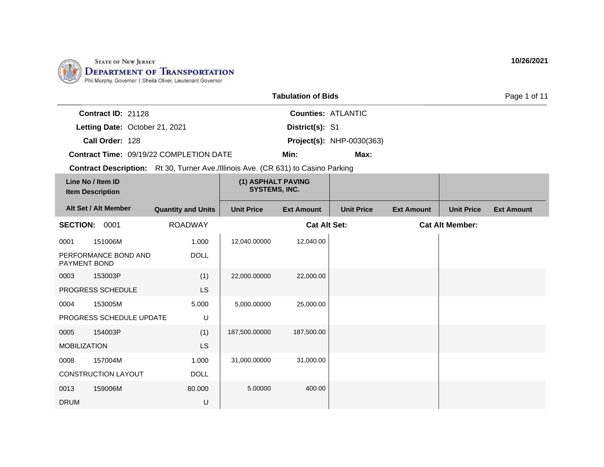

|                           |                                         | <b>Tabulation of Bids</b> |                                  | Page 1 of 11 |
|---------------------------|-----------------------------------------|---------------------------|----------------------------------|--------------|
| <b>Contract ID: 21128</b> |                                         |                           | <b>Counties: ATLANTIC</b>        |              |
|                           | Letting Date: October 21, 2021          | District(s): S1           |                                  |              |
| Call Order: 128           |                                         |                           | <b>Project(s): NHP-0030(363)</b> |              |
|                           | Contract Time: 09/19/22 COMPLETION DATE | Min:                      | Max:                             |              |

|                     | Line No / Item ID<br><b>Item Description</b> |                           | (1) ASPHALT PAVING<br><b>SYSTEMS, INC.</b> |                     |                   |                   |                        |                   |
|---------------------|----------------------------------------------|---------------------------|--------------------------------------------|---------------------|-------------------|-------------------|------------------------|-------------------|
|                     | Alt Set / Alt Member                         | <b>Quantity and Units</b> | <b>Unit Price</b>                          | <b>Ext Amount</b>   | <b>Unit Price</b> | <b>Ext Amount</b> | <b>Unit Price</b>      | <b>Ext Amount</b> |
| <b>SECTION:</b>     | 0001                                         | <b>ROADWAY</b>            |                                            | <b>Cat Alt Set:</b> |                   |                   | <b>Cat Alt Member:</b> |                   |
| 0001                | 151006M                                      | 1.000                     | 12,040.00000                               | 12,040.00           |                   |                   |                        |                   |
| PAYMENT BOND        | PERFORMANCE BOND AND                         | <b>DOLL</b>               |                                            |                     |                   |                   |                        |                   |
| 0003                | 153003P                                      | (1)                       | 22,000.00000                               | 22,000.00           |                   |                   |                        |                   |
|                     | PROGRESS SCHEDULE                            | <b>LS</b>                 |                                            |                     |                   |                   |                        |                   |
| 0004                | 153005M                                      | 5.000                     | 5,000.00000                                | 25,000.00           |                   |                   |                        |                   |
|                     | PROGRESS SCHEDULE UPDATE                     | U                         |                                            |                     |                   |                   |                        |                   |
| 0005                | 154003P                                      | (1)                       | 187,500.00000                              | 187,500.00          |                   |                   |                        |                   |
| <b>MOBILIZATION</b> |                                              | <b>LS</b>                 |                                            |                     |                   |                   |                        |                   |
| 0008                | 157004M                                      | 1.000                     | 31,000.00000                               | 31,000.00           |                   |                   |                        |                   |
|                     | CONSTRUCTION LAYOUT                          | <b>DOLL</b>               |                                            |                     |                   |                   |                        |                   |
| 0013                | 159006M                                      | 80.000                    | 5.00000                                    | 400.00              |                   |                   |                        |                   |
| <b>DRUM</b>         |                                              | U                         |                                            |                     |                   |                   |                        |                   |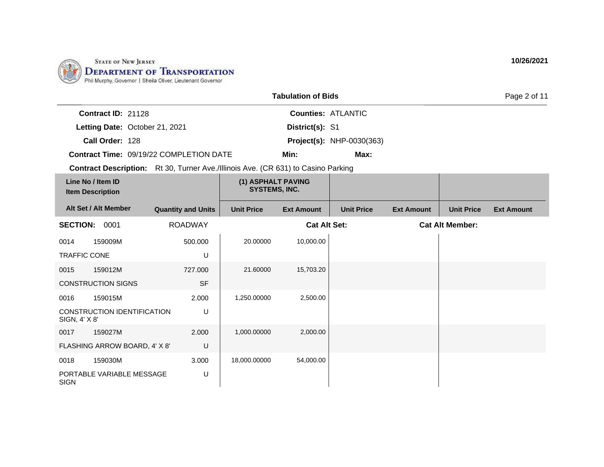

|                    |                                                | <b>Tabulation of Bids</b> |                                  | Page 2 of 11 |
|--------------------|------------------------------------------------|---------------------------|----------------------------------|--------------|
| Contract ID: 21128 |                                                |                           | <b>Counties: ATLANTIC</b>        |              |
|                    | Letting Date: October 21, 2021                 | District(s): S1           |                                  |              |
| Call Order: 128    |                                                |                           | <b>Project(s): NHP-0030(363)</b> |              |
|                    | <b>Contract Time: 09/19/22 COMPLETION DATE</b> | Min:                      | Max:                             |              |

|                     | Line No / Item ID<br><b>Item Description</b> |                           | (1) ASPHALT PAVING<br><b>SYSTEMS, INC.</b> |                     |                   |                   |                        |                   |
|---------------------|----------------------------------------------|---------------------------|--------------------------------------------|---------------------|-------------------|-------------------|------------------------|-------------------|
|                     | Alt Set / Alt Member                         | <b>Quantity and Units</b> | <b>Unit Price</b>                          | <b>Ext Amount</b>   | <b>Unit Price</b> | <b>Ext Amount</b> | <b>Unit Price</b>      | <b>Ext Amount</b> |
| <b>SECTION:</b>     | 0001                                         | <b>ROADWAY</b>            |                                            | <b>Cat Alt Set:</b> |                   |                   | <b>Cat Alt Member:</b> |                   |
| 0014                | 159009M                                      | 500.000                   | 20.00000                                   | 10,000.00           |                   |                   |                        |                   |
| <b>TRAFFIC CONE</b> |                                              | U                         |                                            |                     |                   |                   |                        |                   |
| 0015                | 159012M                                      | 727.000                   | 21.60000                                   | 15,703.20           |                   |                   |                        |                   |
|                     | <b>CONSTRUCTION SIGNS</b>                    | <b>SF</b>                 |                                            |                     |                   |                   |                        |                   |
| 0016                | 159015M                                      | 2.000                     | 1,250.00000                                | 2,500.00            |                   |                   |                        |                   |
| SIGN, 4' X 8'       | CONSTRUCTION IDENTIFICATION                  | U                         |                                            |                     |                   |                   |                        |                   |
| 0017                | 159027M                                      | 2.000                     | 1,000.00000                                | 2,000.00            |                   |                   |                        |                   |
|                     | FLASHING ARROW BOARD, 4' X 8'                | U                         |                                            |                     |                   |                   |                        |                   |
| 0018                | 159030M                                      | 3.000                     | 18,000.00000                               | 54,000.00           |                   |                   |                        |                   |
| <b>SIGN</b>         | PORTABLE VARIABLE MESSAGE                    | U                         |                                            |                     |                   |                   |                        |                   |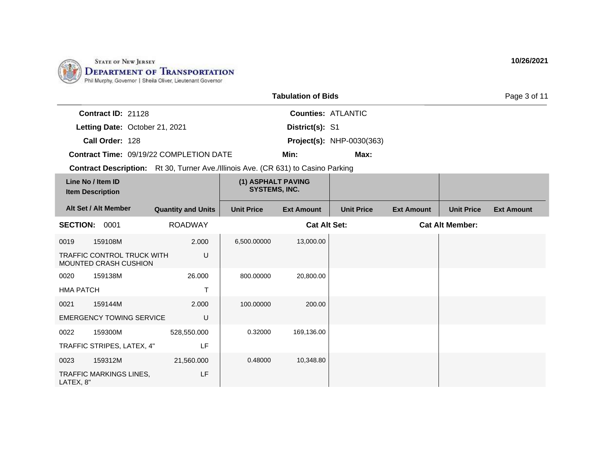

|                                                | <b>Tabulation of Bids</b>        |  |  |  |  |
|------------------------------------------------|----------------------------------|--|--|--|--|
| <b>Contract ID: 21128</b>                      | <b>Counties: ATLANTIC</b>        |  |  |  |  |
| Letting Date: October 21, 2021                 | District(s): S1                  |  |  |  |  |
| Call Order: 128                                | <b>Project(s): NHP-0030(363)</b> |  |  |  |  |
| <b>Contract Time: 09/19/22 COMPLETION DATE</b> | Min:<br>Max:                     |  |  |  |  |

|                                                                 | Line No / Item ID<br><b>Item Description</b> |                           | (1) ASPHALT PAVING<br><b>SYSTEMS, INC.</b> |                     |                   |                   |                        |                   |
|-----------------------------------------------------------------|----------------------------------------------|---------------------------|--------------------------------------------|---------------------|-------------------|-------------------|------------------------|-------------------|
|                                                                 | Alt Set / Alt Member                         | <b>Quantity and Units</b> | <b>Unit Price</b>                          | <b>Ext Amount</b>   | <b>Unit Price</b> | <b>Ext Amount</b> | <b>Unit Price</b>      | <b>Ext Amount</b> |
| <b>SECTION:</b>                                                 | 0001                                         | <b>ROADWAY</b>            |                                            | <b>Cat Alt Set:</b> |                   |                   | <b>Cat Alt Member:</b> |                   |
| 0019                                                            | 159108M                                      | 2.000                     | 6,500.00000                                | 13,000.00           |                   |                   |                        |                   |
| U<br><b>TRAFFIC CONTROL TRUCK WITH</b><br>MOUNTED CRASH CUSHION |                                              |                           |                                            |                     |                   |                   |                        |                   |
| 0020                                                            | 159138M                                      | 26.000                    | 800.00000                                  | 20,800.00           |                   |                   |                        |                   |
| <b>HMA PATCH</b>                                                |                                              | T                         |                                            |                     |                   |                   |                        |                   |
| 0021                                                            | 159144M                                      | 2.000                     | 100.00000                                  | 200.00              |                   |                   |                        |                   |
|                                                                 | <b>EMERGENCY TOWING SERVICE</b>              | U                         |                                            |                     |                   |                   |                        |                   |
| 0022                                                            | 159300M                                      | 528,550.000               | 0.32000                                    | 169,136.00          |                   |                   |                        |                   |
|                                                                 | TRAFFIC STRIPES, LATEX, 4"                   | LF                        |                                            |                     |                   |                   |                        |                   |
| 0023                                                            | 159312M                                      | 21,560.000                | 0.48000                                    | 10,348.80           |                   |                   |                        |                   |
| LATEX, 8"                                                       | <b>TRAFFIC MARKINGS LINES,</b>               | LF                        |                                            |                     |                   |                   |                        |                   |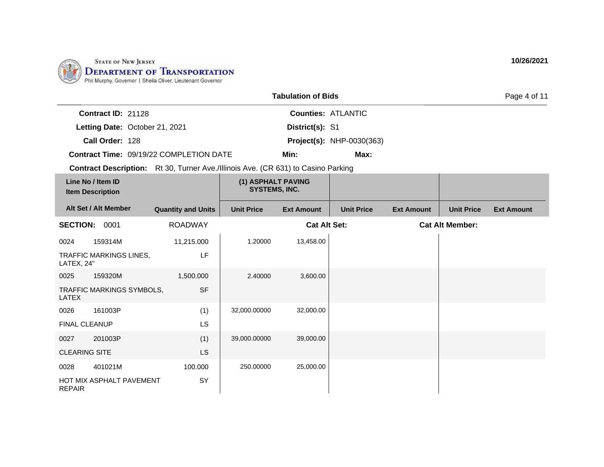

|                                         | <b>Tabulation of Bids</b> |                                  |  |  |  |
|-----------------------------------------|---------------------------|----------------------------------|--|--|--|
| <b>Contract ID: 21128</b>               |                           | <b>Counties: ATLANTIC</b>        |  |  |  |
| Letting Date: October 21, 2021          | District(s): S1           |                                  |  |  |  |
| Call Order: 128                         |                           | <b>Project(s): NHP-0030(363)</b> |  |  |  |
| Contract Time: 09/19/22 COMPLETION DATE | Min:                      | Max:                             |  |  |  |

|                      | Line No / Item ID<br><b>Item Description</b> |                           | (1) ASPHALT PAVING<br><b>SYSTEMS, INC.</b> |                     |                   |                   |                        |                   |
|----------------------|----------------------------------------------|---------------------------|--------------------------------------------|---------------------|-------------------|-------------------|------------------------|-------------------|
|                      | Alt Set / Alt Member                         | <b>Quantity and Units</b> | <b>Unit Price</b>                          | <b>Ext Amount</b>   | <b>Unit Price</b> | <b>Ext Amount</b> | <b>Unit Price</b>      | <b>Ext Amount</b> |
| <b>SECTION:</b>      | 0001                                         | <b>ROADWAY</b>            |                                            | <b>Cat Alt Set:</b> |                   |                   | <b>Cat Alt Member:</b> |                   |
| 0024                 | 159314M                                      | 11,215.000                | 1.20000                                    | 13,458.00           |                   |                   |                        |                   |
| LATEX, 24"           | <b>TRAFFIC MARKINGS LINES,</b>               | LF                        |                                            |                     |                   |                   |                        |                   |
| 0025                 | 159320M                                      | 1,500.000                 | 2.40000                                    | 3,600.00            |                   |                   |                        |                   |
| LATEX                | TRAFFIC MARKINGS SYMBOLS,                    | <b>SF</b>                 |                                            |                     |                   |                   |                        |                   |
| 0026                 | 161003P                                      | (1)                       | 32,000.00000                               | 32,000.00           |                   |                   |                        |                   |
| FINAL CLEANUP        |                                              | <b>LS</b>                 |                                            |                     |                   |                   |                        |                   |
| 0027                 | 201003P                                      | (1)                       | 39,000.00000                               | 39,000.00           |                   |                   |                        |                   |
| <b>CLEARING SITE</b> |                                              | LS.                       |                                            |                     |                   |                   |                        |                   |
| 0028                 | 401021M                                      | 100.000                   | 250.00000                                  | 25,000.00           |                   |                   |                        |                   |
| <b>REPAIR</b>        | HOT MIX ASPHALT PAVEMENT                     | SY                        |                                            |                     |                   |                   |                        |                   |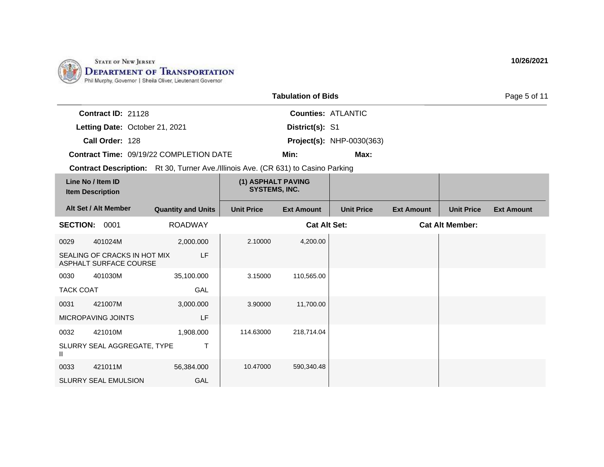

|                                         | <b>Tabulation of Bids</b> |                                  |  |  |  |  |
|-----------------------------------------|---------------------------|----------------------------------|--|--|--|--|
| <b>Contract ID: 21128</b>               |                           | <b>Counties: ATLANTIC</b>        |  |  |  |  |
| Letting Date: October 21, 2021          | <b>District(s): S1</b>    |                                  |  |  |  |  |
| Call Order: 128                         |                           | <b>Project(s): NHP-0030(363)</b> |  |  |  |  |
| Contract Time: 09/19/22 COMPLETION DATE | Min:                      | Max:                             |  |  |  |  |

|                  | Line No / Item ID<br><b>Item Description</b>           |                           | (1) ASPHALT PAVING<br><b>SYSTEMS, INC.</b> |                     |                   |                   |                        |                   |
|------------------|--------------------------------------------------------|---------------------------|--------------------------------------------|---------------------|-------------------|-------------------|------------------------|-------------------|
|                  | Alt Set / Alt Member                                   | <b>Quantity and Units</b> | <b>Unit Price</b>                          | <b>Ext Amount</b>   | <b>Unit Price</b> | <b>Ext Amount</b> | <b>Unit Price</b>      | <b>Ext Amount</b> |
| <b>SECTION:</b>  | 0001                                                   | <b>ROADWAY</b>            |                                            | <b>Cat Alt Set:</b> |                   |                   | <b>Cat Alt Member:</b> |                   |
| 0029             | 401024M                                                | 2,000.000                 | 2.10000                                    | 4,200.00            |                   |                   |                        |                   |
|                  | SEALING OF CRACKS IN HOT MIX<br>ASPHALT SURFACE COURSE | LF                        |                                            |                     |                   |                   |                        |                   |
| 0030             | 401030M                                                | 35,100.000                | 3.15000                                    | 110,565.00          |                   |                   |                        |                   |
| <b>TACK COAT</b> |                                                        | GAL                       |                                            |                     |                   |                   |                        |                   |
| 0031             | 421007M                                                | 3,000.000                 | 3.90000                                    | 11,700.00           |                   |                   |                        |                   |
|                  | MICROPAVING JOINTS                                     | LF                        |                                            |                     |                   |                   |                        |                   |
| 0032             | 421010M                                                | 1,908.000                 | 114.63000                                  | 218,714.04          |                   |                   |                        |                   |
| Ш                | SLURRY SEAL AGGREGATE, TYPE                            | T                         |                                            |                     |                   |                   |                        |                   |
| 0033             | 421011M                                                | 56,384.000                | 10.47000                                   | 590,340.48          |                   |                   |                        |                   |
|                  | <b>SLURRY SEAL EMULSION</b>                            | GAL                       |                                            |                     |                   |                   |                        |                   |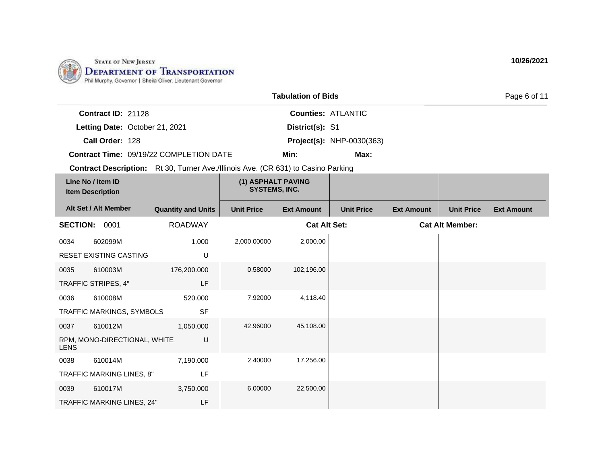

|                           |                                         | <b>Tabulation of Bids</b> |                                  | Page 6 of 11 |
|---------------------------|-----------------------------------------|---------------------------|----------------------------------|--------------|
| <b>Contract ID: 21128</b> |                                         |                           | <b>Counties: ATLANTIC</b>        |              |
|                           | Letting Date: October 21, 2021          | District(s): S1           |                                  |              |
| Call Order: 128           |                                         |                           | <b>Project(s): NHP-0030(363)</b> |              |
|                           | Contract Time: 09/19/22 COMPLETION DATE | Min:                      | Max:                             |              |

|                 | Line No / Item ID<br><b>Item Description</b> |                           | (1) ASPHALT PAVING<br><b>SYSTEMS, INC.</b> |                     |                   |                   |                        |                   |
|-----------------|----------------------------------------------|---------------------------|--------------------------------------------|---------------------|-------------------|-------------------|------------------------|-------------------|
|                 | Alt Set / Alt Member                         | <b>Quantity and Units</b> | <b>Unit Price</b>                          | <b>Ext Amount</b>   | <b>Unit Price</b> | <b>Ext Amount</b> | <b>Unit Price</b>      | <b>Ext Amount</b> |
| <b>SECTION:</b> | 0001                                         | <b>ROADWAY</b>            |                                            | <b>Cat Alt Set:</b> |                   |                   | <b>Cat Alt Member:</b> |                   |
| 0034            | 602099M                                      | 1.000                     | 2,000.00000                                | 2,000.00            |                   |                   |                        |                   |
|                 | RESET EXISTING CASTING                       | U                         |                                            |                     |                   |                   |                        |                   |
| 0035            | 610003M                                      | 176,200.000               | 0.58000                                    | 102,196.00          |                   |                   |                        |                   |
|                 | TRAFFIC STRIPES, 4"                          | LF                        |                                            |                     |                   |                   |                        |                   |
| 0036            | 610008M                                      | 520.000                   | 7.92000                                    | 4,118.40            |                   |                   |                        |                   |
|                 | TRAFFIC MARKINGS, SYMBOLS                    | <b>SF</b>                 |                                            |                     |                   |                   |                        |                   |
| 0037            | 610012M                                      | 1,050.000                 | 42.96000                                   | 45,108.00           |                   |                   |                        |                   |
| <b>LENS</b>     | RPM, MONO-DIRECTIONAL, WHITE                 | U                         |                                            |                     |                   |                   |                        |                   |
| 0038            | 610014M                                      | 7,190.000                 | 2.40000                                    | 17,256.00           |                   |                   |                        |                   |
|                 | TRAFFIC MARKING LINES, 8"                    | LF                        |                                            |                     |                   |                   |                        |                   |
| 0039            | 610017M                                      | 3,750.000                 | 6.00000                                    | 22,500.00           |                   |                   |                        |                   |
|                 | TRAFFIC MARKING LINES, 24"                   | LF                        |                                            |                     |                   |                   |                        |                   |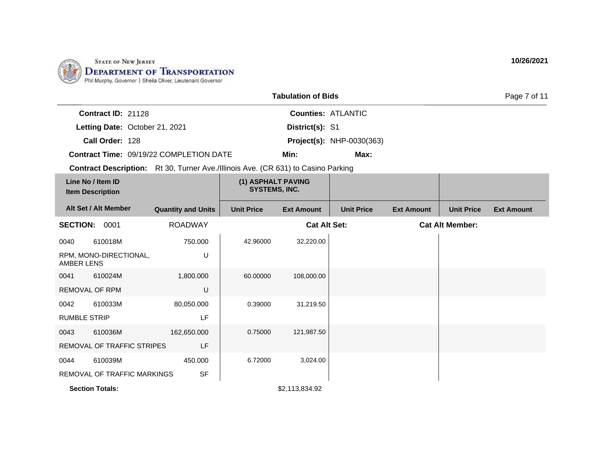

|                           |                                                | <b>Tabulation of Bids</b> |                                  | Page 7 of 11 |
|---------------------------|------------------------------------------------|---------------------------|----------------------------------|--------------|
| <b>Contract ID: 21128</b> |                                                |                           | <b>Counties: ATLANTIC</b>        |              |
|                           | Letting Date: October 21, 2021                 | District(s): S1           |                                  |              |
| Call Order: 128           |                                                |                           | <b>Project(s): NHP-0030(363)</b> |              |
|                           | <b>Contract Time: 09/19/22 COMPLETION DATE</b> | Min:                      | Max:                             |              |

|                     | Line No / Item ID<br><b>Item Description</b> |                           | (1) ASPHALT PAVING<br>SYSTEMS, INC. |                     |                   |                   |                        |                   |
|---------------------|----------------------------------------------|---------------------------|-------------------------------------|---------------------|-------------------|-------------------|------------------------|-------------------|
|                     | Alt Set / Alt Member                         | <b>Quantity and Units</b> | <b>Unit Price</b>                   | <b>Ext Amount</b>   | <b>Unit Price</b> | <b>Ext Amount</b> | <b>Unit Price</b>      | <b>Ext Amount</b> |
| <b>SECTION:</b>     | 0001                                         | <b>ROADWAY</b>            |                                     | <b>Cat Alt Set:</b> |                   |                   | <b>Cat Alt Member:</b> |                   |
| 0040                | 610018M                                      | 750.000                   | 42.96000                            | 32,220.00           |                   |                   |                        |                   |
| AMBER LENS          | RPM, MONO-DIRECTIONAL,                       | U                         |                                     |                     |                   |                   |                        |                   |
| 0041                | 610024M                                      | 1,800.000                 | 60.00000                            | 108,000.00          |                   |                   |                        |                   |
|                     | REMOVAL OF RPM                               | U                         |                                     |                     |                   |                   |                        |                   |
| 0042                | 610033M                                      | 80,050.000                | 0.39000                             | 31,219.50           |                   |                   |                        |                   |
| <b>RUMBLE STRIP</b> |                                              | LF                        |                                     |                     |                   |                   |                        |                   |
| 0043                | 610036M                                      | 162,650.000               | 0.75000                             | 121,987.50          |                   |                   |                        |                   |
|                     | REMOVAL OF TRAFFIC STRIPES                   | LF                        |                                     |                     |                   |                   |                        |                   |
| 0044                | 610039M                                      | 450.000                   | 6.72000                             | 3,024.00            |                   |                   |                        |                   |
|                     | REMOVAL OF TRAFFIC MARKINGS                  | <b>SF</b>                 |                                     |                     |                   |                   |                        |                   |
|                     | <b>Section Totals:</b>                       |                           |                                     | \$2,113,834.92      |                   |                   |                        |                   |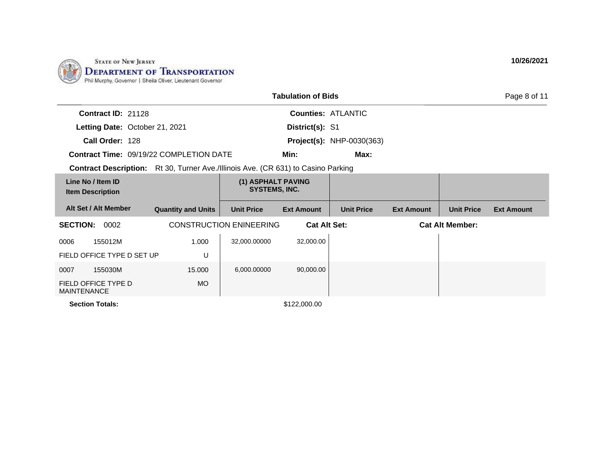

|                                                                                          |                           |                                            | <b>Tabulation of Bids</b> |                                  |                   |                        | Page 8 of 11      |
|------------------------------------------------------------------------------------------|---------------------------|--------------------------------------------|---------------------------|----------------------------------|-------------------|------------------------|-------------------|
| Contract ID: 21128                                                                       |                           |                                            |                           | <b>Counties: ATLANTIC</b>        |                   |                        |                   |
| Letting Date: October 21, 2021                                                           |                           |                                            | District(s): S1           |                                  |                   |                        |                   |
| Call Order: 128                                                                          |                           |                                            |                           | <b>Project(s): NHP-0030(363)</b> |                   |                        |                   |
| <b>Contract Time: 09/19/22 COMPLETION DATE</b>                                           |                           |                                            | Min:                      | Max:                             |                   |                        |                   |
| <b>Contract Description:</b> Rt 30, Turner Ave./Illinois Ave. (CR 631) to Casino Parking |                           |                                            |                           |                                  |                   |                        |                   |
| Line No / Item ID<br><b>Item Description</b>                                             |                           | (1) ASPHALT PAVING<br><b>SYSTEMS, INC.</b> |                           |                                  |                   |                        |                   |
| Alt Set / Alt Member                                                                     | <b>Quantity and Units</b> | <b>Unit Price</b>                          | <b>Ext Amount</b>         | <b>Unit Price</b>                | <b>Ext Amount</b> | <b>Unit Price</b>      | <b>Ext Amount</b> |
| <b>SECTION:</b><br>0002                                                                  |                           | <b>CONSTRUCTION ENINEERING</b>             | <b>Cat Alt Set:</b>       |                                  |                   | <b>Cat Alt Member:</b> |                   |
| 155012M<br>0006                                                                          | 1.000                     | 32,000.00000                               | 32,000.00                 |                                  |                   |                        |                   |
| FIELD OFFICE TYPE D SET UP                                                               | U                         |                                            |                           |                                  |                   |                        |                   |
| 155030M<br>0007                                                                          | 15.000                    | 6,000.00000                                | 90,000.00                 |                                  |                   |                        |                   |
| FIELD OFFICE TYPE D<br><b>MAINTENANCE</b>                                                | MO.                       |                                            |                           |                                  |                   |                        |                   |
| <b>Section Totals:</b>                                                                   |                           |                                            | \$122,000.00              |                                  |                   |                        |                   |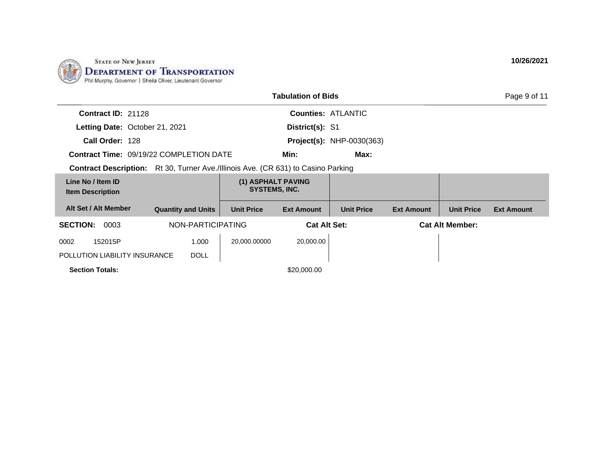

| <b>Tabulation of Bids</b>                      |                           |                                                             |                                            |                                  |                   |                        | Page 9 of 11      |
|------------------------------------------------|---------------------------|-------------------------------------------------------------|--------------------------------------------|----------------------------------|-------------------|------------------------|-------------------|
| Contract ID: 21128                             |                           |                                                             |                                            | <b>Counties: ATLANTIC</b>        |                   |                        |                   |
| Letting Date: October 21, 2021                 |                           |                                                             | District(s): S1                            |                                  |                   |                        |                   |
| Call Order: 128                                |                           |                                                             |                                            | <b>Project(s): NHP-0030(363)</b> |                   |                        |                   |
| <b>Contract Time: 09/19/22 COMPLETION DATE</b> |                           |                                                             | Min:                                       | Max:                             |                   |                        |                   |
| <b>Contract Description:</b>                   |                           | Rt 30, Turner Ave./Illinois Ave. (CR 631) to Casino Parking |                                            |                                  |                   |                        |                   |
| Line No / Item ID<br><b>Item Description</b>   |                           |                                                             | (1) ASPHALT PAVING<br><b>SYSTEMS, INC.</b> |                                  |                   |                        |                   |
| Alt Set / Alt Member                           | <b>Quantity and Units</b> | <b>Unit Price</b>                                           | <b>Ext Amount</b>                          | <b>Unit Price</b>                | <b>Ext Amount</b> | <b>Unit Price</b>      | <b>Ext Amount</b> |
| <b>SECTION:</b><br>0003                        | NON-PARTICIPATING         |                                                             | <b>Cat Alt Set:</b>                        |                                  |                   | <b>Cat Alt Member:</b> |                   |
| 152015P<br>0002                                | 1.000                     | 20.000.00000                                                | 20,000.00                                  |                                  |                   |                        |                   |
| POLLUTION LIABILITY INSURANCE                  | <b>DOLL</b>               |                                                             |                                            |                                  |                   |                        |                   |
| <b>Section Totals:</b>                         |                           |                                                             | \$20,000.00                                |                                  |                   |                        |                   |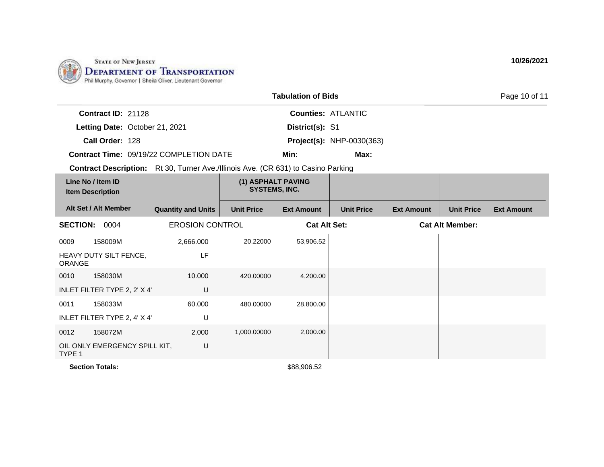

| <b>Tabulation of Bids</b>                                                                |                           |                                            |                     |                                  |                   |                        | Page 10 of 11     |
|------------------------------------------------------------------------------------------|---------------------------|--------------------------------------------|---------------------|----------------------------------|-------------------|------------------------|-------------------|
| Contract ID: 21128                                                                       |                           |                                            |                     | <b>Counties: ATLANTIC</b>        |                   |                        |                   |
| Letting Date: October 21, 2021                                                           |                           |                                            | District(s): S1     |                                  |                   |                        |                   |
| Call Order: 128                                                                          |                           |                                            |                     | <b>Project(s): NHP-0030(363)</b> |                   |                        |                   |
| <b>Contract Time: 09/19/22 COMPLETION DATE</b>                                           |                           |                                            | Min:                | Max:                             |                   |                        |                   |
| <b>Contract Description:</b> Rt 30, Turner Ave./Illinois Ave. (CR 631) to Casino Parking |                           |                                            |                     |                                  |                   |                        |                   |
| Line No / Item ID<br><b>Item Description</b>                                             |                           | (1) ASPHALT PAVING<br><b>SYSTEMS, INC.</b> |                     |                                  |                   |                        |                   |
| Alt Set / Alt Member                                                                     | <b>Quantity and Units</b> | <b>Unit Price</b>                          | <b>Ext Amount</b>   | <b>Unit Price</b>                | <b>Ext Amount</b> | <b>Unit Price</b>      | <b>Ext Amount</b> |
| 0004<br><b>SECTION:</b>                                                                  | <b>EROSION CONTROL</b>    |                                            | <b>Cat Alt Set:</b> |                                  |                   | <b>Cat Alt Member:</b> |                   |
| 0009<br>158009M                                                                          | 2,666.000                 | 20.22000                                   | 53,906.52           |                                  |                   |                        |                   |
| HEAVY DUTY SILT FENCE.                                                                   | LF                        |                                            |                     |                                  |                   |                        |                   |

| <b>ORANGE</b> | HEAVY DUTY SILT FENCE,        | LF     |             |           |  |
|---------------|-------------------------------|--------|-------------|-----------|--|
| 0010          | 158030M                       | 10.000 | 420.00000   | 4,200.00  |  |
|               | INLET FILTER TYPE 2, 2' X 4'  | U      |             |           |  |
| 0011          | 158033M                       | 60.000 | 480.00000   | 28,800.00 |  |
|               | INLET FILTER TYPE 2, 4' X 4'  | U      |             |           |  |
| 0012          | 158072M                       | 2.000  | 1,000.00000 | 2,000.00  |  |
| TYPE 1        | OIL ONLY EMERGENCY SPILL KIT, | U      |             |           |  |

**Section Totals:** \$88,906.52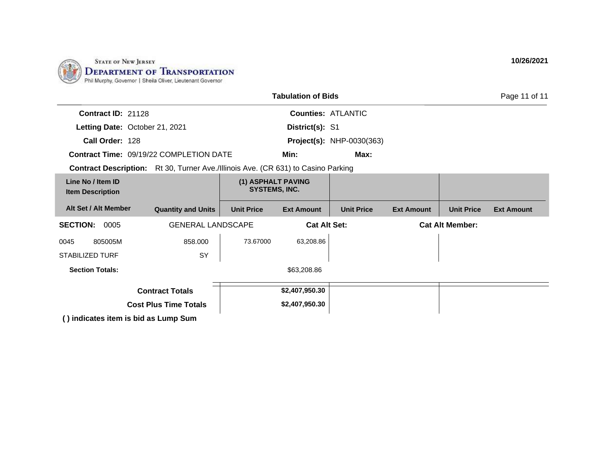

| <b>Tabulation of Bids</b>                                                                |                                                |                                            |                     |                                  |                        |                   |                   |  |
|------------------------------------------------------------------------------------------|------------------------------------------------|--------------------------------------------|---------------------|----------------------------------|------------------------|-------------------|-------------------|--|
| Contract ID: 21128                                                                       |                                                |                                            |                     | <b>Counties: ATLANTIC</b>        |                        |                   |                   |  |
| Letting Date: October 21, 2021                                                           |                                                |                                            | District(s): S1     |                                  |                        |                   |                   |  |
| Call Order: 128                                                                          |                                                |                                            |                     | <b>Project(s):</b> NHP-0030(363) |                        |                   |                   |  |
|                                                                                          | <b>Contract Time: 09/19/22 COMPLETION DATE</b> |                                            | Min:                | Max:                             |                        |                   |                   |  |
| <b>Contract Description:</b> Rt 30, Turner Ave./Illinois Ave. (CR 631) to Casino Parking |                                                |                                            |                     |                                  |                        |                   |                   |  |
| Line No / Item ID<br><b>Item Description</b>                                             |                                                | (1) ASPHALT PAVING<br><b>SYSTEMS, INC.</b> |                     |                                  |                        |                   |                   |  |
| Alt Set / Alt Member                                                                     | <b>Quantity and Units</b>                      | <b>Unit Price</b>                          | <b>Ext Amount</b>   | <b>Unit Price</b>                | <b>Ext Amount</b>      | <b>Unit Price</b> | <b>Ext Amount</b> |  |
| <b>SECTION: 0005</b>                                                                     | <b>GENERAL LANDSCAPE</b>                       |                                            | <b>Cat Alt Set:</b> |                                  | <b>Cat Alt Member:</b> |                   |                   |  |
| 805005M<br>0045                                                                          | 858.000                                        | 73.67000                                   | 63,208.86           |                                  |                        |                   |                   |  |
| <b>STABILIZED TURF</b>                                                                   | <b>SY</b>                                      |                                            |                     |                                  |                        |                   |                   |  |
| <b>Section Totals:</b>                                                                   |                                                |                                            | \$63,208.86         |                                  |                        |                   |                   |  |
|                                                                                          | <b>Contract Totals</b>                         |                                            | \$2,407,950.30      |                                  |                        |                   |                   |  |
|                                                                                          | <b>Cost Plus Time Totals</b>                   |                                            | \$2,407,950.30      |                                  |                        |                   |                   |  |
| $\left( \right)$ indicates item is hid so Lump Cum                                       |                                                |                                            |                     |                                  |                        |                   |                   |  |

**( ) indicates item is bid as Lump Sum**